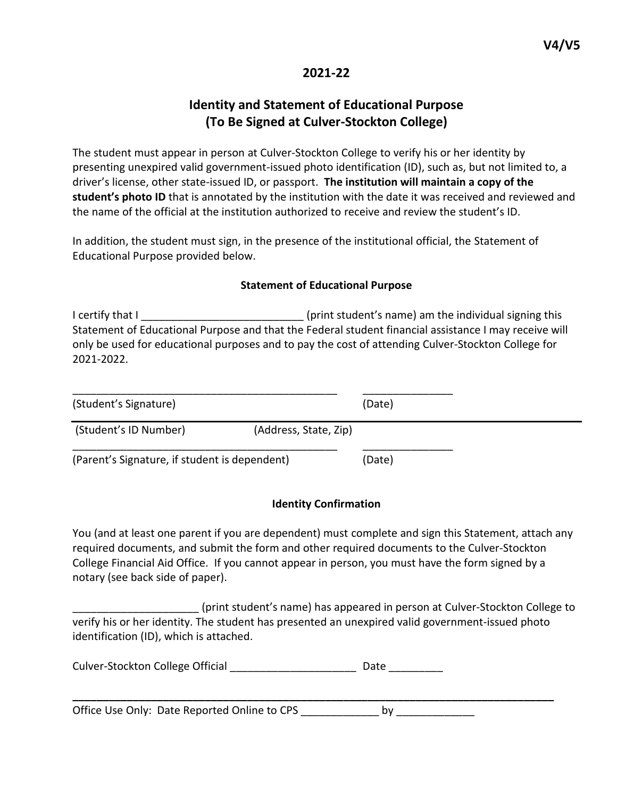## **2021-22**

# **Identity and Statement of Educational Purpose (To Be Signed at Culver-Stockton College)**

The student must appear in person at Culver-Stockton College to verify his or her identity by presenting unexpired valid government-issued photo identification (ID), such as, but not limited to, a driver's license, other state-issued ID, or passport. **The institution will maintain a copy of the student's photo ID** that is annotated by the institution with the date it was received and reviewed and the name of the official at the institution authorized to receive and review the student's ID.

In addition, the student must sign, in the presence of the institutional official, the Statement of Educational Purpose provided below.

#### **Statement of Educational Purpose**

I certify that I certify that I certify that I Statement of Educational Purpose and that the Federal student financial assistance I may receive will only be used for educational purposes and to pay the cost of attending Culver-Stockton College for 2021-2022.

| (Student's Signature)                         |                       | (Date) |
|-----------------------------------------------|-----------------------|--------|
| (Student's ID Number)                         | (Address, State, Zip) |        |
| (Parent's Signature, if student is dependent) |                       | (Date) |

### **Identity Confirmation**

You (and at least one parent if you are dependent) must complete and sign this Statement, attach any required documents, and submit the form and other required documents to the Culver-Stockton College Financial Aid Office. If you cannot appear in person, you must have the form signed by a notary (see back side of paper).

\_\_\_\_\_\_\_\_\_\_\_\_\_\_\_\_\_\_\_\_\_ (print student's name) has appeared in person at Culver-Stockton College to verify his or her identity. The student has presented an unexpired valid government-issued photo identification (ID), which is attached.

**\_\_\_\_\_\_\_\_\_\_\_\_\_\_\_\_\_\_\_\_\_\_\_\_\_\_\_\_\_\_\_\_\_\_\_\_\_\_\_\_\_\_\_\_\_\_\_\_\_\_\_\_\_\_\_\_\_\_\_\_\_\_\_\_\_\_\_\_\_\_\_\_\_\_\_\_\_\_\_\_**

Culver-Stockton College Official \_\_\_\_\_\_\_\_\_\_\_\_\_\_\_\_\_\_\_\_\_\_\_\_\_\_ Date \_\_\_\_\_\_\_\_\_\_

Office Use Only: Date Reported Online to CPS by by